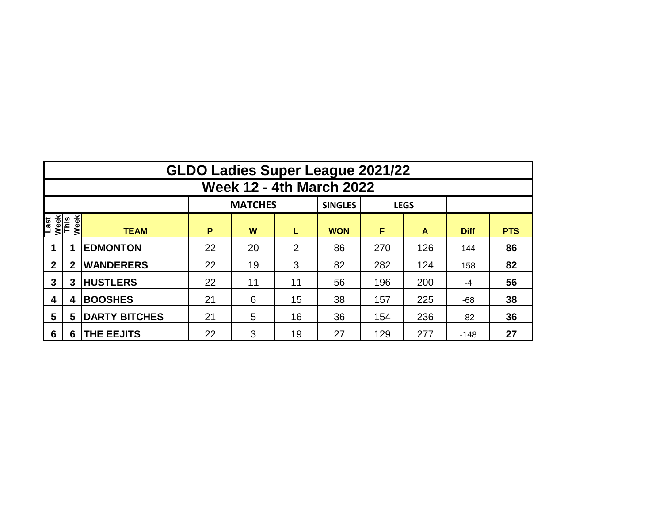|                                     | <b>GLDO Ladies Super League 2021/22</b> |                      |          |    |    |            |     |     |             |            |  |  |  |  |  |
|-------------------------------------|-----------------------------------------|----------------------|----------|----|----|------------|-----|-----|-------------|------------|--|--|--|--|--|
| <b>Week 12 - 4th March 2022</b>     |                                         |                      |          |    |    |            |     |     |             |            |  |  |  |  |  |
|                                     |                                         |                      |          |    |    |            |     |     |             |            |  |  |  |  |  |
| Week<br>This<br>Week<br><b>Last</b> |                                         | <b>TEAM</b>          | P        | W  | L  | <b>WON</b> | F   | A   | <b>Diff</b> | <b>PTS</b> |  |  |  |  |  |
|                                     |                                         | <b>EDMONTON</b>      | 22       | 20 | 2  | 86         | 270 | 126 | 144         | 86         |  |  |  |  |  |
| $\mathbf{2}$                        | 2                                       | <b>WANDERERS</b>     | 22<br>19 |    | 3  | 82         | 282 | 124 | 158         | 82         |  |  |  |  |  |
| 3                                   | 3                                       | <b>HUSTLERS</b>      | 22       | 11 | 11 | 56         | 196 | 200 | -4          | 56         |  |  |  |  |  |
| 4                                   | 4                                       | <b>BOOSHES</b>       | 21       | 6  | 15 | 38         | 157 | 225 | $-68$       | 38         |  |  |  |  |  |
| 5                                   | 5                                       | <b>DARTY BITCHES</b> | 21       | 5  | 16 | 36         | 154 | 236 | -82         | 36         |  |  |  |  |  |
| 6                                   | 6                                       | <b>THE EEJITS</b>    | 22       | 3  | 19 | 27         | 129 | 277 | $-148$      | 27         |  |  |  |  |  |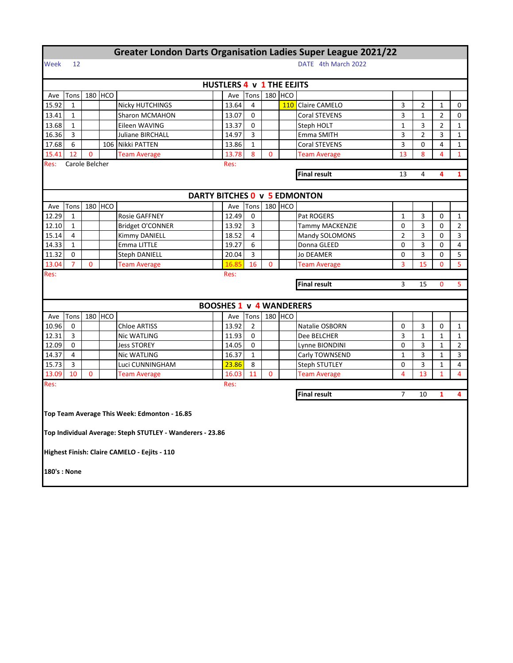| <b>Greater London Darts Organisation Ladies Super League 2021/22</b> |                                                     |                |           |                                                           |  |                                  |                |              |         |                              |                |                |                |                |
|----------------------------------------------------------------------|-----------------------------------------------------|----------------|-----------|-----------------------------------------------------------|--|----------------------------------|----------------|--------------|---------|------------------------------|----------------|----------------|----------------|----------------|
| Week                                                                 | DATE 4th March 2022<br>12                           |                |           |                                                           |  |                                  |                |              |         |                              |                |                |                |                |
|                                                                      |                                                     |                |           |                                                           |  | <b>HUSTLERS 4 v 1 THE EEJITS</b> |                |              |         |                              |                |                |                |                |
| Ave                                                                  | Tons                                                |                | 180 HCO   |                                                           |  | Ave                              | Tons           |              | 180 HCO |                              |                |                |                |                |
| 15.92                                                                | 1                                                   |                |           | Nicky HUTCHINGS                                           |  | 13.64                            | 4              |              |         | 110 Claire CAMELO            | 3              | $\overline{2}$ | 1              | 0              |
| 13.41                                                                | 1                                                   |                |           | Sharon MCMAHON                                            |  | 13.07                            | 0              |              |         | Coral STEVENS                | 3              | 1              | $\overline{2}$ | 0              |
| 13.68                                                                | 1                                                   |                |           | Eileen WAVING                                             |  | 13.37                            | 0              |              |         | Steph HOLT                   | 1              | 3              | 2              | 1              |
| 16.36                                                                | 3                                                   |                |           | <b>Juliane BIRCHALL</b>                                   |  | 14.97                            | 3              |              |         | Emma SMITH                   | 3              | 2              | 3              | 1              |
| 17.68                                                                | 6                                                   |                |           | 106 Nikki PATTEN                                          |  | 13.86                            | $\mathbf{1}$   |              |         | Coral STEVENS                | 3              | $\Omega$       | 4              | 1              |
| 15.41                                                                | 12                                                  | $\mathbf{0}$   |           | <b>Team Average</b>                                       |  | 13.78                            | 8              | 0            |         | <b>Team Average</b>          | 13             | 8              | 4              | $\mathbf{1}$   |
| Res:                                                                 |                                                     | Carole Belcher |           |                                                           |  | Res:                             |                |              |         |                              |                |                |                |                |
|                                                                      |                                                     |                |           |                                                           |  |                                  |                |              |         | <b>Final result</b>          | 13             | 4              | 4              | 1              |
|                                                                      |                                                     |                |           |                                                           |  |                                  |                |              |         |                              |                |                |                |                |
|                                                                      |                                                     |                |           |                                                           |  |                                  |                |              |         | DARTY BITCHES 0 v 5 EDMONTON |                |                |                |                |
| Ave                                                                  | Tons                                                |                | 180 HCO   |                                                           |  | Ave                              | Tons           |              | 180 HCO |                              |                |                |                |                |
| 12.29                                                                | $\mathbf{1}$                                        |                |           | <b>Rosie GAFFNEY</b>                                      |  | 12.49                            | 0              |              |         | Pat ROGERS                   | $\mathbf 1$    | 3              | 0              | $\mathbf{1}$   |
| 12.10                                                                | 1                                                   |                |           | Bridget O'CONNER                                          |  | 13.92                            | 3              |              |         | <b>Tammy MACKENZIE</b>       | 0              | 3              | 0              | $\overline{2}$ |
| 15.14                                                                | 4                                                   |                |           | Kimmy DANIELL                                             |  | 18.52                            | 4              |              |         | Mandy SOLOMONS               | $\overline{2}$ | 3              | 0              | 3              |
| 14.33                                                                | $\mathbf{1}$                                        |                |           | Emma LITTLE                                               |  | 19.27                            | 6              |              |         | Donna GLEED                  | 0              | 3              | 0              | 4              |
| 11.32                                                                | 0                                                   |                |           | <b>Steph DANIELL</b>                                      |  | 20.04                            | 3              |              |         | Jo DEAMER                    | 0              | 3              | 0              | 5              |
| 13.04                                                                | 7                                                   | $\mathbf 0$    |           | <b>Team Average</b>                                       |  | 16.85                            | 16             | $\mathbf{0}$ |         | <b>Team Average</b>          | 3              | 15             | 0              | 5              |
| Res:                                                                 |                                                     |                |           |                                                           |  | Res:                             |                |              |         |                              |                |                |                |                |
|                                                                      |                                                     |                |           |                                                           |  |                                  |                |              |         | <b>Final result</b>          | 3              | 15             | $\mathbf{0}$   | 5              |
|                                                                      |                                                     |                |           |                                                           |  |                                  |                |              |         |                              |                |                |                |                |
|                                                                      |                                                     |                |           |                                                           |  | <b>BOOSHES 1 v 4 WANDERERS</b>   |                |              |         |                              |                |                |                |                |
| Ave                                                                  | Tons                                                |                | $180$ HCO |                                                           |  | Ave                              | Tons           |              | 180 HCO |                              |                |                |                |                |
| 10.96                                                                | 0                                                   |                |           | <b>Chloe ARTISS</b>                                       |  | 13.92                            | $\overline{2}$ |              |         | Natalie OSBORN               | 0              | 3              | 0              | $\mathbf{1}$   |
| 12.31                                                                | 3                                                   |                |           | Nic WATLING                                               |  | 11.93                            | 0              |              |         | Dee BELCHER                  | 3              | 1              | $\mathbf{1}$   | 1              |
| 12.09                                                                | 0                                                   |                |           | <b>Jess STOREY</b>                                        |  | 14.05                            | 0              |              |         | Lynne BIONDINI               | 0              | 3              | $\mathbf{1}$   | $\overline{2}$ |
| 14.37                                                                | 4                                                   |                |           | Nic WATLING                                               |  | 16.37                            | $\mathbf{1}$   |              |         | Carly TOWNSEND               | $\mathbf{1}$   | 3              | $\mathbf{1}$   | 3              |
| 15.73                                                                | 3                                                   |                |           | Luci CUNNINGHAM                                           |  | 23.86                            | 8              |              |         | <b>Steph STUTLEY</b>         | 0              | 3              | 1              | 4              |
| 13.09                                                                | 10                                                  | $\mathbf 0$    |           | <b>Team Average</b>                                       |  | 16.03                            | 11             | 0            |         | Team Average                 | 4              | 13             | $\mathbf{1}$   | $\overline{a}$ |
| Res:                                                                 |                                                     |                |           |                                                           |  | Res:                             |                |              |         |                              |                |                |                |                |
|                                                                      | <b>Final result</b><br>7<br>$\mathbf{1}$<br>4<br>10 |                |           |                                                           |  |                                  |                |              |         |                              |                |                |                |                |
|                                                                      | Top Team Average This Week: Edmonton - 16.85        |                |           |                                                           |  |                                  |                |              |         |                              |                |                |                |                |
|                                                                      |                                                     |                |           | Top Individual Average: Steph STUTLEY - Wanderers - 23.86 |  |                                  |                |              |         |                              |                |                |                |                |
|                                                                      |                                                     |                |           | Highest Finish: Claire CAMELO - Eejits - 110              |  |                                  |                |              |         |                              |                |                |                |                |
| 180's : None                                                         |                                                     |                |           |                                                           |  |                                  |                |              |         |                              |                |                |                |                |